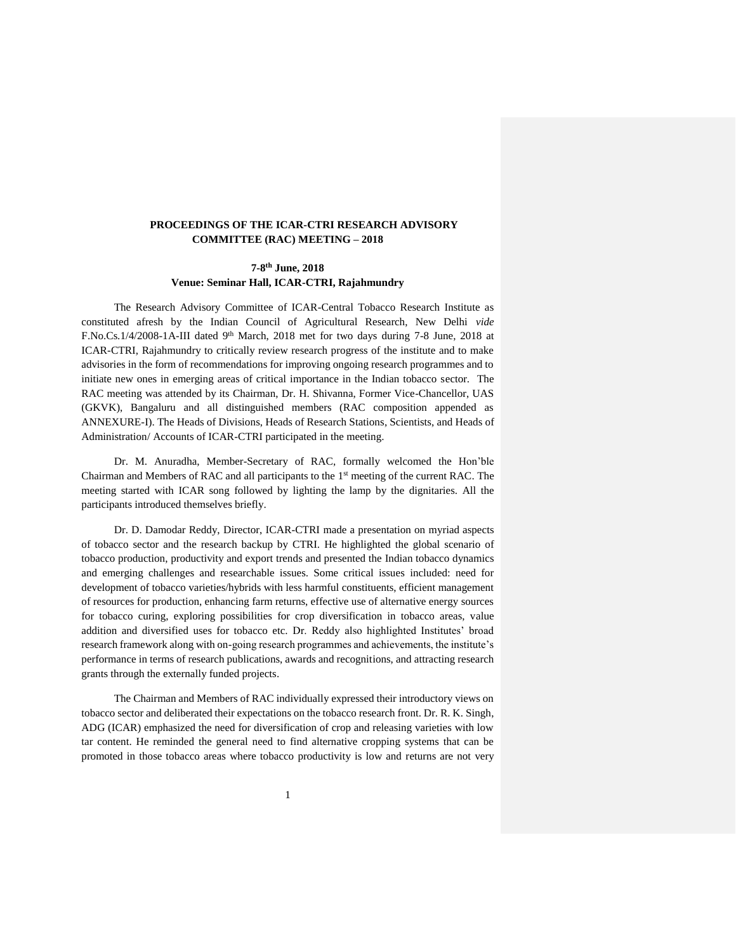## **PROCEEDINGS OF THE ICAR-CTRI RESEARCH ADVISORY COMMITTEE (RAC) MEETING – 2018**

## **7-8 th June, 2018 Venue: Seminar Hall, ICAR-CTRI, Rajahmundry**

The Research Advisory Committee of ICAR-Central Tobacco Research Institute as constituted afresh by the Indian Council of Agricultural Research, New Delhi *vide* F.No.Cs.1/4/2008-1A-III dated 9<sup>th</sup> March, 2018 met for two days during 7-8 June, 2018 at ICAR-CTRI, Rajahmundry to critically review research progress of the institute and to make advisories in the form of recommendations for improving ongoing research programmes and to initiate new ones in emerging areas of critical importance in the Indian tobacco sector. The RAC meeting was attended by its Chairman, Dr. H. Shivanna, Former Vice-Chancellor, UAS (GKVK), Bangaluru and all distinguished members (RAC composition appended as ANNEXURE-I). The Heads of Divisions, Heads of Research Stations, Scientists, and Heads of Administration/ Accounts of ICAR-CTRI participated in the meeting.

Dr. M. Anuradha, Member-Secretary of RAC, formally welcomed the Hon'ble Chairman and Members of RAC and all participants to the 1 st meeting of the current RAC. The meeting started with ICAR song followed by lighting the lamp by the dignitaries. All the participants introduced themselves briefly.

Dr. D. Damodar Reddy, Director, ICAR-CTRI made a presentation on myriad aspects of tobacco sector and the research backup by CTRI. He highlighted the global scenario of tobacco production, productivity and export trends and presented the Indian tobacco dynamics and emerging challenges and researchable issues. Some critical issues included: need for development of tobacco varieties/hybrids with less harmful constituents, efficient management of resources for production, enhancing farm returns, effective use of alternative energy sources for tobacco curing, exploring possibilities for crop diversification in tobacco areas, value addition and diversified uses for tobacco etc. Dr. Reddy also highlighted Institutes' broad research framework along with on-going research programmes and achievements, the institute's performance in terms of research publications, awards and recognitions, and attracting research grants through the externally funded projects.

The Chairman and Members of RAC individually expressed their introductory views on tobacco sector and deliberated their expectations on the tobacco research front. Dr. R. K. Singh, ADG (ICAR) emphasized the need for diversification of crop and releasing varieties with low tar content. He reminded the general need to find alternative cropping systems that can be promoted in those tobacco areas where tobacco productivity is low and returns are not very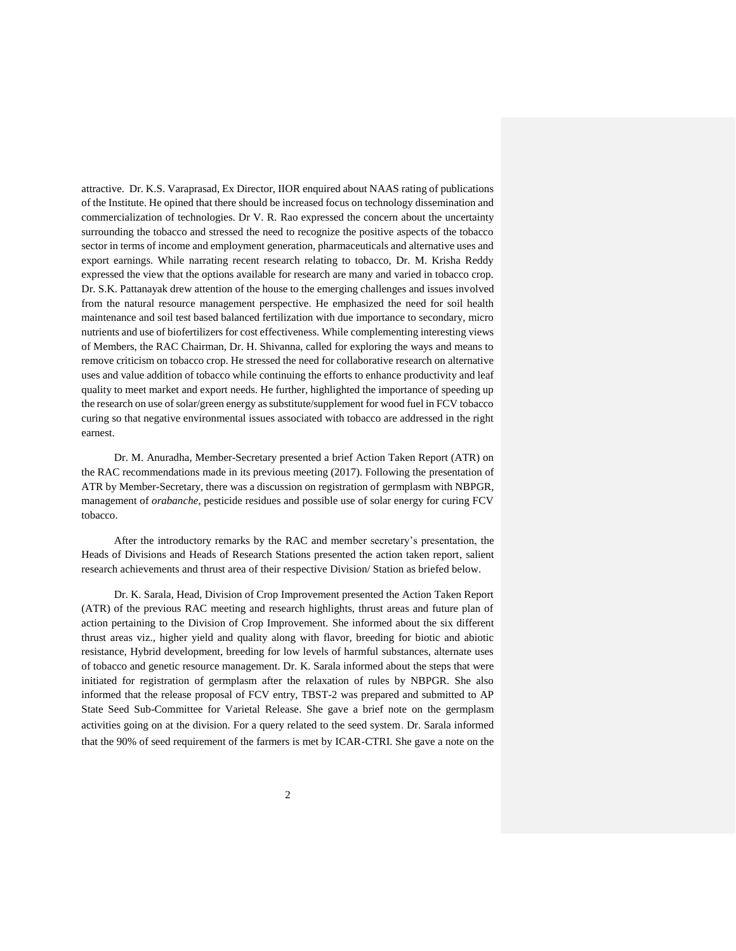attractive. Dr. K.S. Varaprasad, Ex Director, IIOR enquired about NAAS rating of publications of the Institute. He opined that there should be increased focus on technology dissemination and commercialization of technologies. Dr V. R. Rao expressed the concern about the uncertainty surrounding the tobacco and stressed the need to recognize the positive aspects of the tobacco sector in terms of income and employment generation, pharmaceuticals and alternative uses and export earnings. While narrating recent research relating to tobacco, Dr. M. Krisha Reddy expressed the view that the options available for research are many and varied in tobacco crop. Dr. S.K. Pattanayak drew attention of the house to the emerging challenges and issues involved from the natural resource management perspective. He emphasized the need for soil health maintenance and soil test based balanced fertilization with due importance to secondary, micro nutrients and use of biofertilizers for cost effectiveness. While complementing interesting views of Members, the RAC Chairman, Dr. H. Shivanna, called for exploring the ways and means to remove criticism on tobacco crop. He stressed the need for collaborative research on alternative uses and value addition of tobacco while continuing the efforts to enhance productivity and leaf quality to meet market and export needs. He further, highlighted the importance of speeding up the research on use of solar/green energy as substitute/supplement for wood fuel in FCV tobacco curing so that negative environmental issues associated with tobacco are addressed in the right earnest.

Dr. M. Anuradha, Member-Secretary presented a brief Action Taken Report (ATR) on the RAC recommendations made in its previous meeting (2017). Following the presentation of ATR by Member-Secretary, there was a discussion on registration of germplasm with NBPGR, management of *orabanche*, pesticide residues and possible use of solar energy for curing FCV tobacco.

After the introductory remarks by the RAC and member secretary's presentation, the Heads of Divisions and Heads of Research Stations presented the action taken report, salient research achievements and thrust area of their respective Division/ Station as briefed below.

Dr. K. Sarala, Head, Division of Crop Improvement presented the Action Taken Report (ATR) of the previous RAC meeting and research highlights, thrust areas and future plan of action pertaining to the Division of Crop Improvement. She informed about the six different thrust areas viz., higher yield and quality along with flavor, breeding for biotic and abiotic resistance, Hybrid development, breeding for low levels of harmful substances, alternate uses of tobacco and genetic resource management. Dr. K. Sarala informed about the steps that were initiated for registration of germplasm after the relaxation of rules by NBPGR. She also informed that the release proposal of FCV entry, TBST-2 was prepared and submitted to AP State Seed Sub-Committee for Varietal Release. She gave a brief note on the germplasm activities going on at the division. For a query related to the seed system. Dr. Sarala informed that the 90% of seed requirement of the farmers is met by ICAR-CTRI. She gave a note on the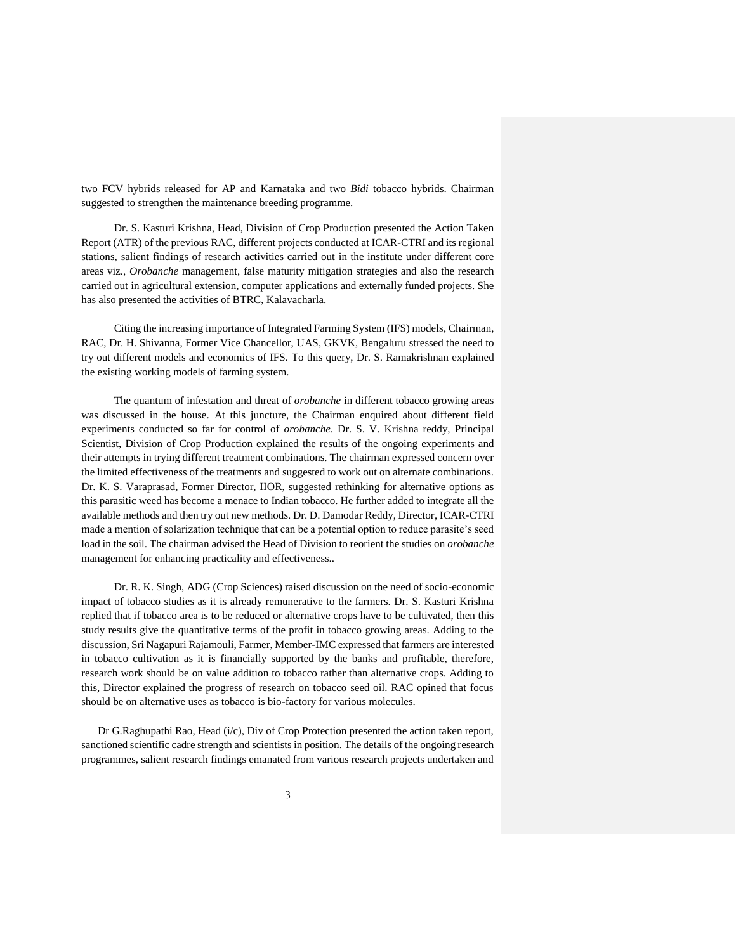two FCV hybrids released for AP and Karnataka and two *Bidi* tobacco hybrids. Chairman suggested to strengthen the maintenance breeding programme.

Dr. S. Kasturi Krishna, Head, Division of Crop Production presented the Action Taken Report (ATR) of the previous RAC, different projects conducted at ICAR-CTRI and its regional stations, salient findings of research activities carried out in the institute under different core areas viz., *Orobanche* management, false maturity mitigation strategies and also the research carried out in agricultural extension, computer applications and externally funded projects. She has also presented the activities of BTRC, Kalavacharla.

Citing the increasing importance of Integrated Farming System (IFS) models, Chairman, RAC, Dr. H. Shivanna, Former Vice Chancellor, UAS, GKVK, Bengaluru stressed the need to try out different models and economics of IFS. To this query, Dr. S. Ramakrishnan explained the existing working models of farming system.

The quantum of infestation and threat of *orobanche* in different tobacco growing areas was discussed in the house. At this juncture, the Chairman enquired about different field experiments conducted so far for control of *orobanche*. Dr. S. V. Krishna reddy, Principal Scientist, Division of Crop Production explained the results of the ongoing experiments and their attempts in trying different treatment combinations. The chairman expressed concern over the limited effectiveness of the treatments and suggested to work out on alternate combinations. Dr. K. S. Varaprasad, Former Director, IIOR, suggested rethinking for alternative options as this parasitic weed has become a menace to Indian tobacco. He further added to integrate all the available methods and then try out new methods. Dr. D. Damodar Reddy, Director, ICAR-CTRI made a mention of solarization technique that can be a potential option to reduce parasite's seed load in the soil. The chairman advised the Head of Division to reorient the studies on *orobanche* management for enhancing practicality and effectiveness..

Dr. R. K. Singh, ADG (Crop Sciences) raised discussion on the need of socio-economic impact of tobacco studies as it is already remunerative to the farmers. Dr. S. Kasturi Krishna replied that if tobacco area is to be reduced or alternative crops have to be cultivated, then this study results give the quantitative terms of the profit in tobacco growing areas. Adding to the discussion, Sri Nagapuri Rajamouli, Farmer, Member-IMC expressed that farmers are interested in tobacco cultivation as it is financially supported by the banks and profitable, therefore, research work should be on value addition to tobacco rather than alternative crops. Adding to this, Director explained the progress of research on tobacco seed oil. RAC opined that focus should be on alternative uses as tobacco is bio-factory for various molecules.

Dr G.Raghupathi Rao, Head (i/c), Div of Crop Protection presented the action taken report, sanctioned scientific cadre strength and scientists in position. The details of the ongoing research programmes, salient research findings emanated from various research projects undertaken and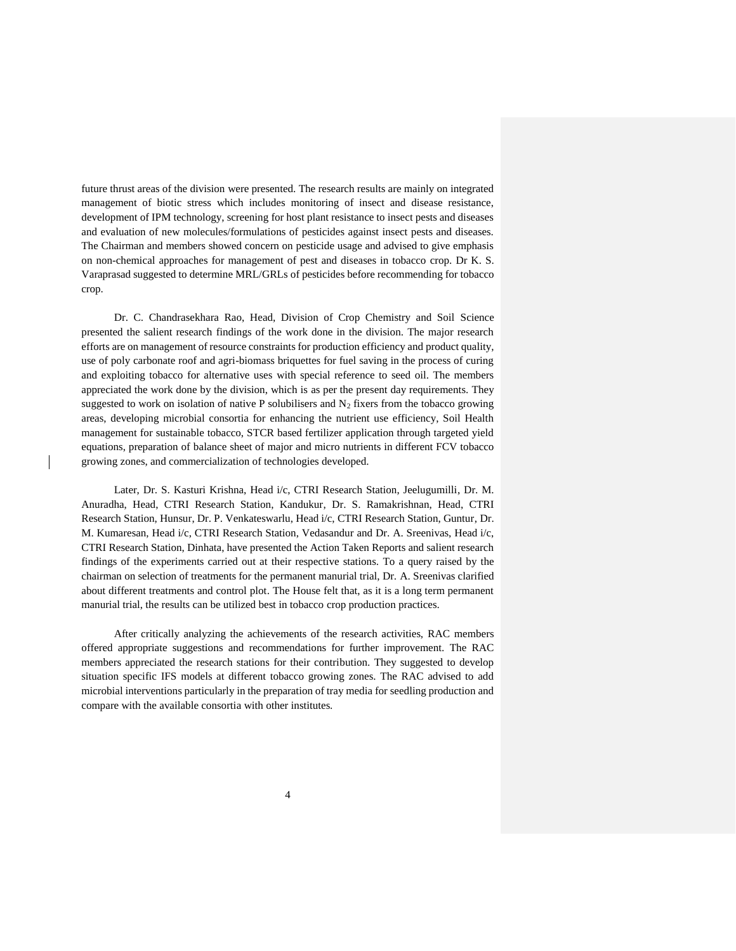future thrust areas of the division were presented. The research results are mainly on integrated management of biotic stress which includes monitoring of insect and disease resistance, development of IPM technology, screening for host plant resistance to insect pests and diseases and evaluation of new molecules/formulations of pesticides against insect pests and diseases. The Chairman and members showed concern on pesticide usage and advised to give emphasis on non-chemical approaches for management of pest and diseases in tobacco crop. Dr K. S. Varaprasad suggested to determine MRL/GRLs of pesticides before recommending for tobacco crop.

Dr. C. Chandrasekhara Rao, Head, Division of Crop Chemistry and Soil Science presented the salient research findings of the work done in the division. The major research efforts are on management of resource constraints for production efficiency and product quality, use of poly carbonate roof and agri-biomass briquettes for fuel saving in the process of curing and exploiting tobacco for alternative uses with special reference to seed oil. The members appreciated the work done by the division, which is as per the present day requirements. They suggested to work on isolation of native P solubilisers and  $N_2$  fixers from the tobacco growing areas, developing microbial consortia for enhancing the nutrient use efficiency, Soil Health management for sustainable tobacco, STCR based fertilizer application through targeted yield equations, preparation of balance sheet of major and micro nutrients in different FCV tobacco growing zones, and commercialization of technologies developed.

Later, Dr. S. Kasturi Krishna, Head i/c, CTRI Research Station, Jeelugumilli, Dr. M. Anuradha, Head, CTRI Research Station, Kandukur, Dr. S. Ramakrishnan, Head, CTRI Research Station, Hunsur, Dr. P. Venkateswarlu, Head i/c, CTRI Research Station, Guntur, Dr. M. Kumaresan, Head i/c, CTRI Research Station, Vedasandur and Dr. A. Sreenivas, Head i/c, CTRI Research Station, Dinhata, have presented the Action Taken Reports and salient research findings of the experiments carried out at their respective stations. To a query raised by the chairman on selection of treatments for the permanent manurial trial, Dr. A. Sreenivas clarified about different treatments and control plot. The House felt that, as it is a long term permanent manurial trial, the results can be utilized best in tobacco crop production practices.

After critically analyzing the achievements of the research activities, RAC members offered appropriate suggestions and recommendations for further improvement. The RAC members appreciated the research stations for their contribution. They suggested to develop situation specific IFS models at different tobacco growing zones. The RAC advised to add microbial interventions particularly in the preparation of tray media for seedling production and compare with the available consortia with other institutes.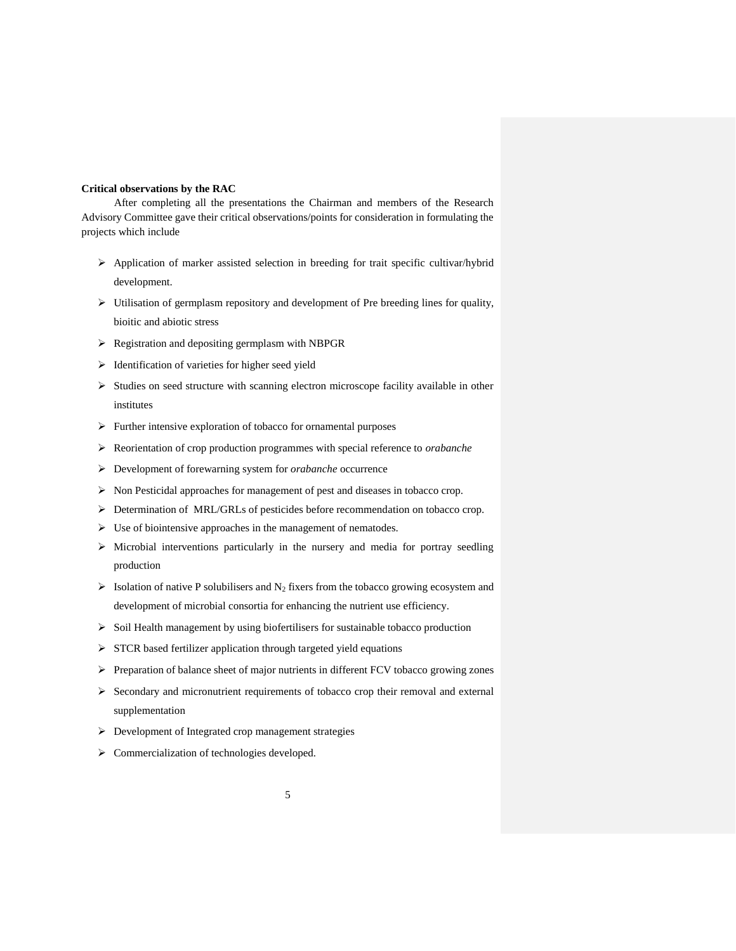## **Critical observations by the RAC**

After completing all the presentations the Chairman and members of the Research Advisory Committee gave their critical observations/points for consideration in formulating the projects which include

- $\triangleright$  Application of marker assisted selection in breeding for trait specific cultivar/hybrid development.
- $\triangleright$  Utilisation of germplasm repository and development of Pre breeding lines for quality, bioitic and abiotic stress
- Registration and depositing germplasm with NBPGR
- $\triangleright$  Identification of varieties for higher seed yield
- $\triangleright$  Studies on seed structure with scanning electron microscope facility available in other institutes
- $\triangleright$  Further intensive exploration of tobacco for ornamental purposes
- Reorientation of crop production programmes with special reference to *orabanche*
- Development of forewarning system for *orabanche* occurrence
- $\triangleright$  Non Pesticidal approaches for management of pest and diseases in tobacco crop.
- Determination of MRL/GRLs of pesticides before recommendation on tobacco crop.
- $\triangleright$  Use of biointensive approaches in the management of nematodes.
- $\triangleright$  Microbial interventions particularly in the nursery and media for portray seedling production
- $\triangleright$  Isolation of native P solubilisers and N<sub>2</sub> fixers from the tobacco growing ecosystem and development of microbial consortia for enhancing the nutrient use efficiency.
- $\triangleright$  Soil Health management by using biofertilisers for sustainable tobacco production
- $\triangleright$  STCR based fertilizer application through targeted yield equations
- Preparation of balance sheet of major nutrients in different FCV tobacco growing zones
- $\triangleright$  Secondary and micronutrient requirements of tobacco crop their removal and external supplementation
- Development of Integrated crop management strategies
- > Commercialization of technologies developed.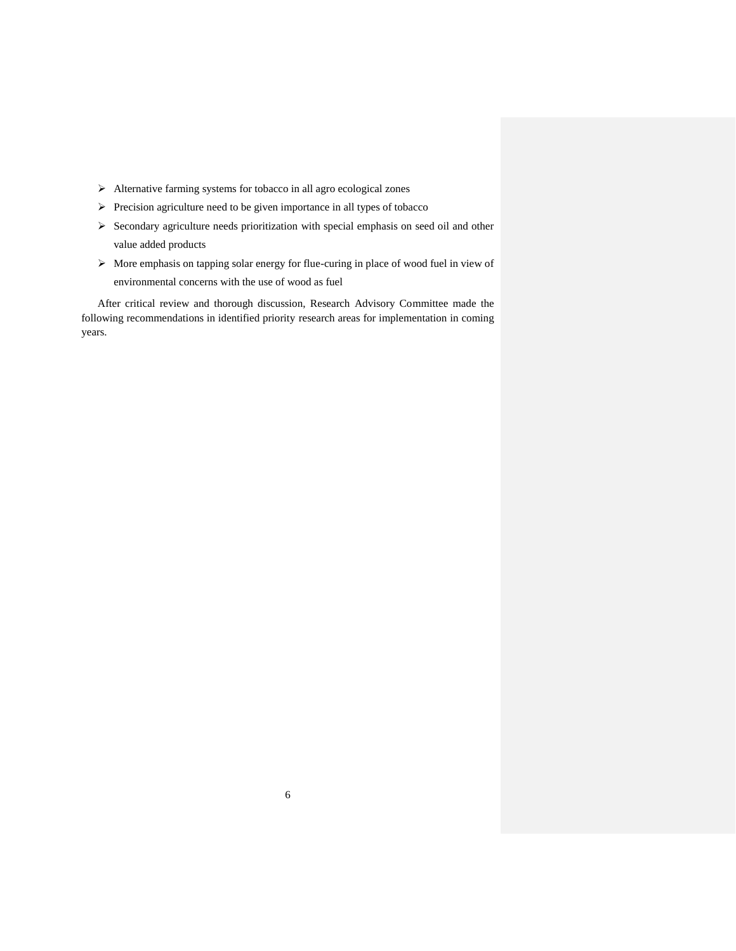- Alternative farming systems for tobacco in all agro ecological zones
- $\triangleright$  Precision agriculture need to be given importance in all types of tobacco
- $\triangleright$  Secondary agriculture needs prioritization with special emphasis on seed oil and other value added products
- $\triangleright$  More emphasis on tapping solar energy for flue-curing in place of wood fuel in view of environmental concerns with the use of wood as fuel

After critical review and thorough discussion, Research Advisory Committee made the following recommendations in identified priority research areas for implementation in coming years.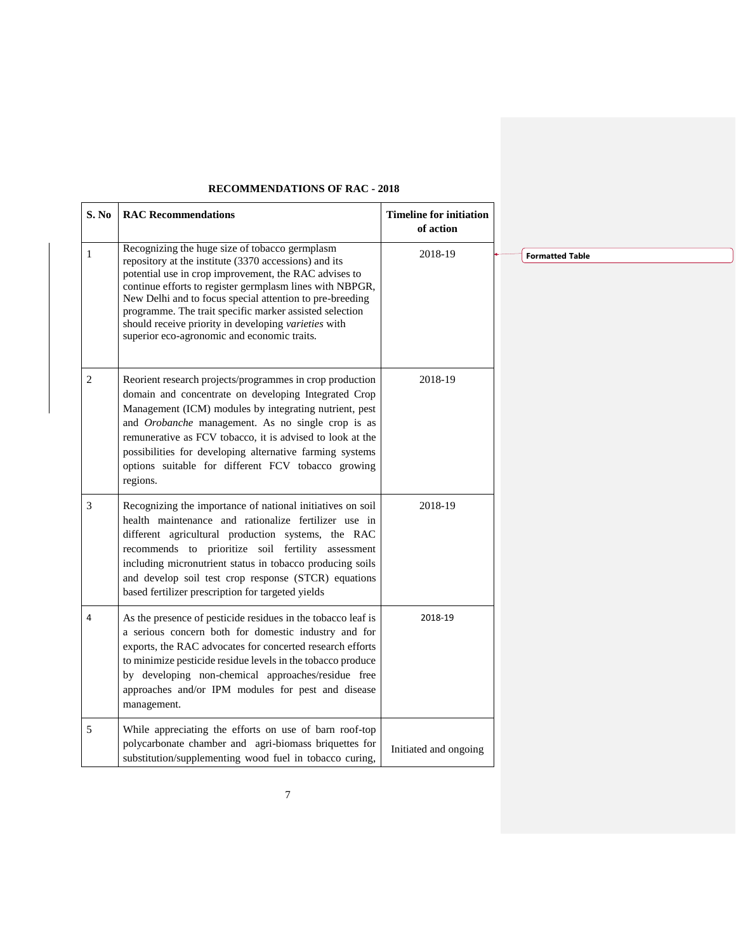| S. No | <b>RAC Recommendations</b>                                                                                                                                                                                                                                                                                                                                                                                                                                 | <b>Timeline for initiation</b><br>of action |                        |  |
|-------|------------------------------------------------------------------------------------------------------------------------------------------------------------------------------------------------------------------------------------------------------------------------------------------------------------------------------------------------------------------------------------------------------------------------------------------------------------|---------------------------------------------|------------------------|--|
| 1     | Recognizing the huge size of tobacco germplasm<br>repository at the institute (3370 accessions) and its<br>potential use in crop improvement, the RAC advises to<br>continue efforts to register germplasm lines with NBPGR,<br>New Delhi and to focus special attention to pre-breeding<br>programme. The trait specific marker assisted selection<br>should receive priority in developing varieties with<br>superior eco-agronomic and economic traits. | 2018-19                                     | <b>Formatted Table</b> |  |
| 2     | Reorient research projects/programmes in crop production<br>domain and concentrate on developing Integrated Crop<br>Management (ICM) modules by integrating nutrient, pest<br>and Orobanche management. As no single crop is as<br>remunerative as FCV tobacco, it is advised to look at the<br>possibilities for developing alternative farming systems<br>options suitable for different FCV tobacco growing<br>regions.                                 | 2018-19                                     |                        |  |
| 3     | Recognizing the importance of national initiatives on soil<br>health maintenance and rationalize fertilizer use in<br>different agricultural production systems, the RAC<br>recommends to prioritize soil fertility assessment<br>including micronutrient status in tobacco producing soils<br>and develop soil test crop response (STCR) equations<br>based fertilizer prescription for targeted yields                                                   | 2018-19                                     |                        |  |
| 4     | As the presence of pesticide residues in the tobacco leaf is<br>a serious concern both for domestic industry and for<br>exports, the RAC advocates for concerted research efforts<br>to minimize pesticide residue levels in the tobacco produce<br>by developing non-chemical approaches/residue free<br>approaches and/or IPM modules for pest and disease<br>management.                                                                                | 2018-19                                     |                        |  |
| 5     | While appreciating the efforts on use of barn roof-top<br>polycarbonate chamber and agri-biomass briquettes for<br>substitution/supplementing wood fuel in tobacco curing,                                                                                                                                                                                                                                                                                 | Initiated and ongoing                       |                        |  |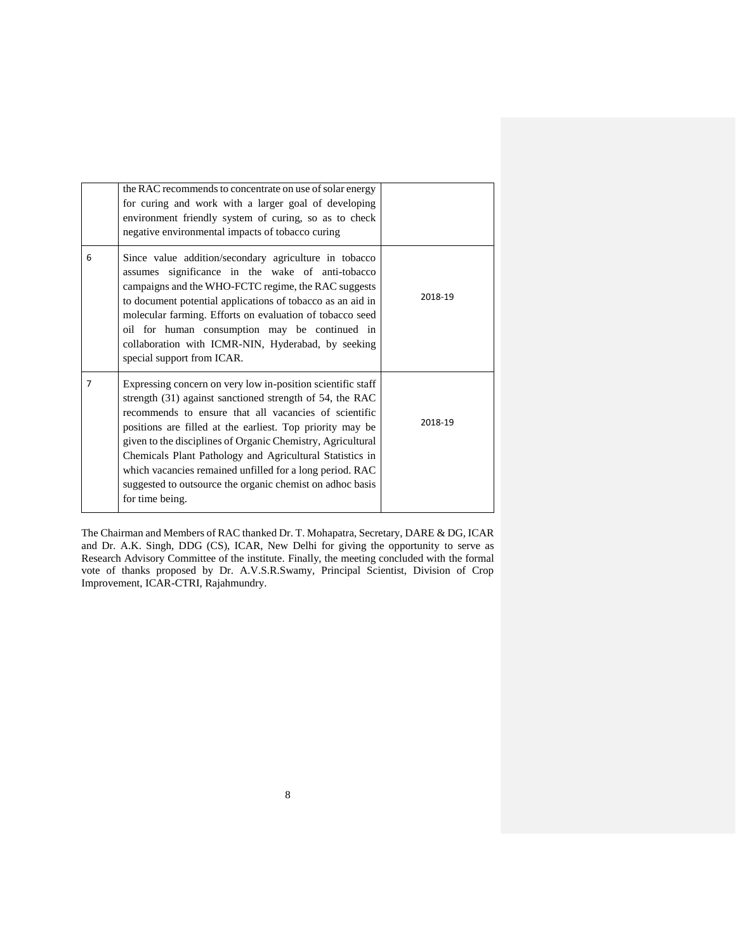|                | the RAC recommends to concentrate on use of solar energy<br>for curing and work with a larger goal of developing<br>environment friendly system of curing, so as to check<br>negative environmental impacts of tobacco curing                                                                                                                                                                                                                                                                                        |         |
|----------------|----------------------------------------------------------------------------------------------------------------------------------------------------------------------------------------------------------------------------------------------------------------------------------------------------------------------------------------------------------------------------------------------------------------------------------------------------------------------------------------------------------------------|---------|
| 6              | Since value addition/secondary agriculture in tobacco<br>assumes significance in the wake of anti-tobacco<br>campaigns and the WHO-FCTC regime, the RAC suggests<br>to document potential applications of tobacco as an aid in<br>molecular farming. Efforts on evaluation of tobacco seed<br>oil for human consumption may be continued in<br>collaboration with ICMR-NIN, Hyderabad, by seeking<br>special support from ICAR.                                                                                      | 2018-19 |
| $\overline{7}$ | Expressing concern on very low in-position scientific staff<br>strength (31) against sanctioned strength of 54, the RAC<br>recommends to ensure that all vacancies of scientific<br>positions are filled at the earliest. Top priority may be<br>given to the disciplines of Organic Chemistry, Agricultural<br>Chemicals Plant Pathology and Agricultural Statistics in<br>which vacancies remained unfilled for a long period. RAC<br>suggested to outsource the organic chemist on adhoc basis<br>for time being. | 2018-19 |

The Chairman and Members of RAC thanked Dr. T. Mohapatra, Secretary, DARE & DG, ICAR and Dr. A.K. Singh, DDG (CS), ICAR, New Delhi for giving the opportunity to serve as Research Advisory Committee of the institute. Finally, the meeting concluded with the formal vote of thanks proposed by Dr. A.V.S.R.Swamy, Principal Scientist, Division of Crop Improvement, ICAR-CTRI, Rajahmundry.